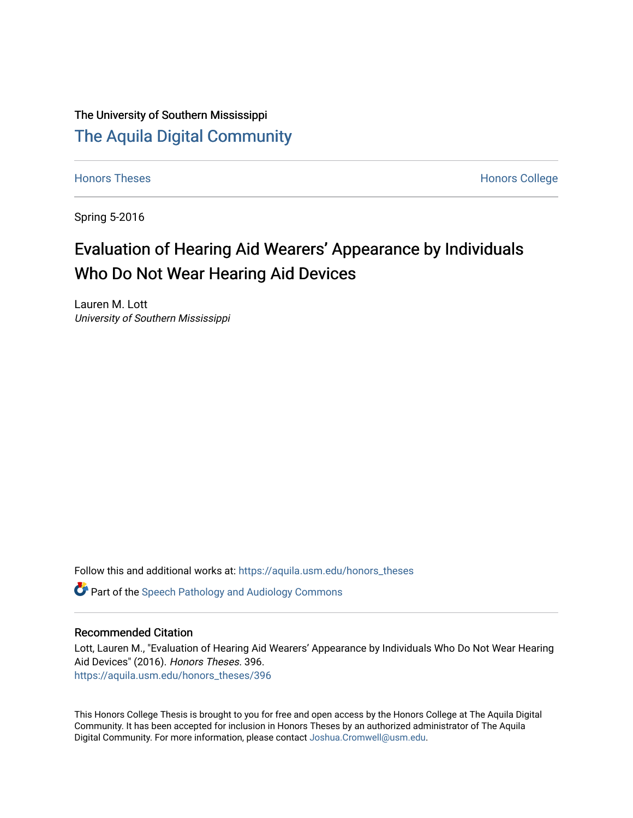The University of Southern Mississippi [The Aquila Digital Community](https://aquila.usm.edu/)

[Honors Theses](https://aquila.usm.edu/honors_theses) **Honors** College Honors College

Spring 5-2016

# Evaluation of Hearing Aid Wearers' Appearance by Individuals Who Do Not Wear Hearing Aid Devices

Lauren M. Lott University of Southern Mississippi

Follow this and additional works at: [https://aquila.usm.edu/honors\\_theses](https://aquila.usm.edu/honors_theses?utm_source=aquila.usm.edu%2Fhonors_theses%2F396&utm_medium=PDF&utm_campaign=PDFCoverPages) 

**C** Part of the Speech Pathology and Audiology Commons

#### Recommended Citation

Lott, Lauren M., "Evaluation of Hearing Aid Wearers' Appearance by Individuals Who Do Not Wear Hearing Aid Devices" (2016). Honors Theses. 396. [https://aquila.usm.edu/honors\\_theses/396](https://aquila.usm.edu/honors_theses/396?utm_source=aquila.usm.edu%2Fhonors_theses%2F396&utm_medium=PDF&utm_campaign=PDFCoverPages) 

This Honors College Thesis is brought to you for free and open access by the Honors College at The Aquila Digital Community. It has been accepted for inclusion in Honors Theses by an authorized administrator of The Aquila Digital Community. For more information, please contact [Joshua.Cromwell@usm.edu.](mailto:Joshua.Cromwell@usm.edu)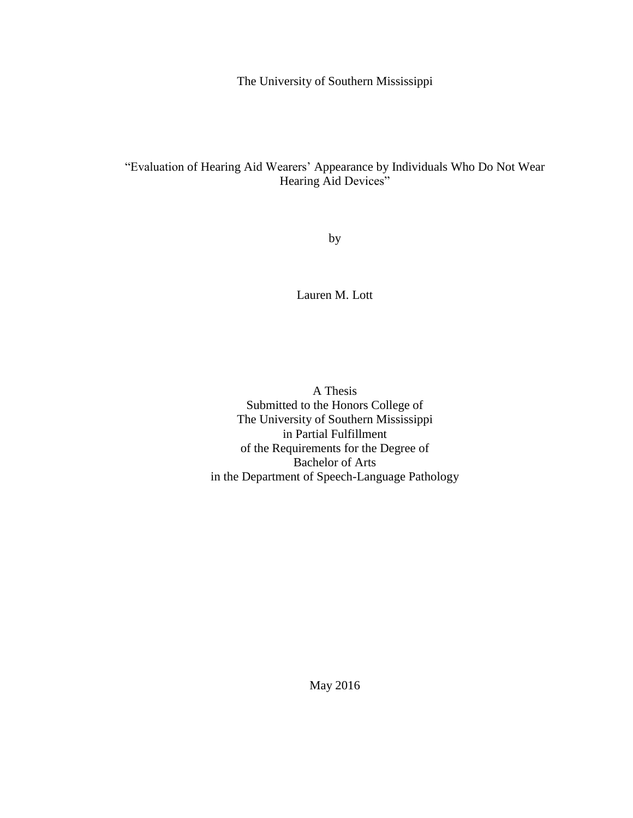The University of Southern Mississippi

# "Evaluation of Hearing Aid Wearers' Appearance by Individuals Who Do Not Wear Hearing Aid Devices"

by

Lauren M. Lott

A Thesis Submitted to the Honors College of The University of Southern Mississippi in Partial Fulfillment of the Requirements for the Degree of Bachelor of Arts in the Department of Speech-Language Pathology

May 2016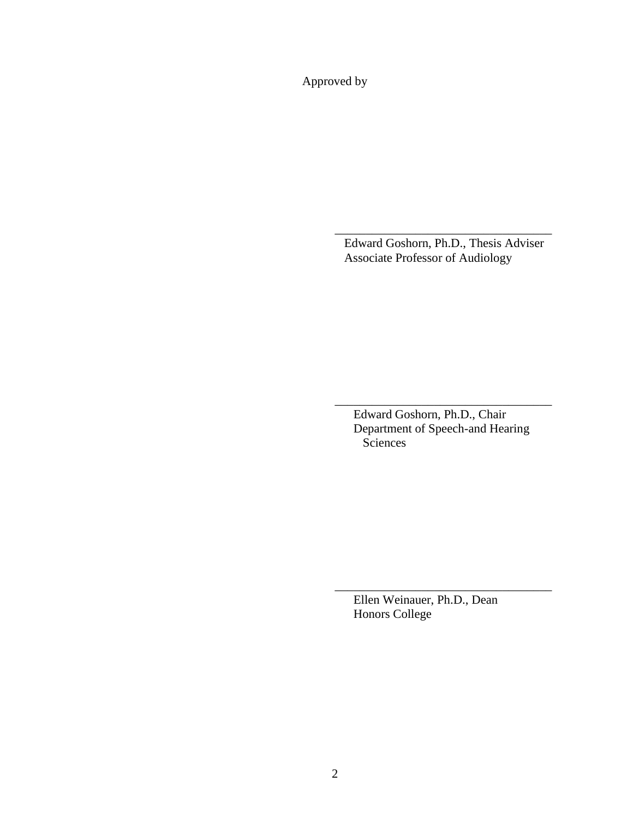Approved by

Edward Goshorn, Ph.D., Thesis Adviser Associate Professor of Audiology

\_\_\_\_\_\_\_\_\_\_\_\_\_\_\_\_\_\_\_\_\_\_\_\_\_\_\_\_\_\_\_\_\_\_\_

Edward Goshorn, Ph.D., Chair Department of Speech-and Hearing **Sciences** 

\_\_\_\_\_\_\_\_\_\_\_\_\_\_\_\_\_\_\_\_\_\_\_\_\_\_\_\_\_\_\_\_\_\_\_

Ellen Weinauer, Ph.D., Dean Honors College

\_\_\_\_\_\_\_\_\_\_\_\_\_\_\_\_\_\_\_\_\_\_\_\_\_\_\_\_\_\_\_\_\_\_\_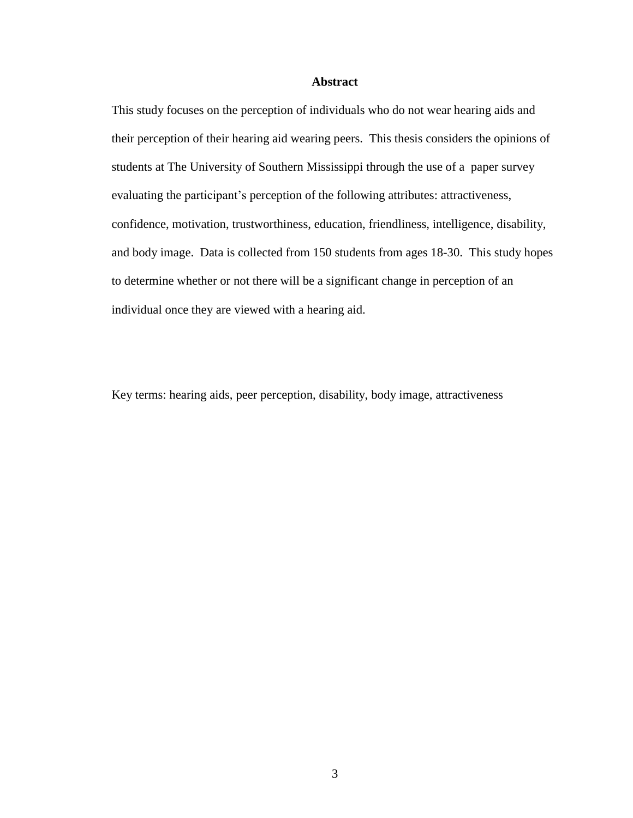#### **Abstract**

This study focuses on the perception of individuals who do not wear hearing aids and their perception of their hearing aid wearing peers. This thesis considers the opinions of students at The University of Southern Mississippi through the use of a paper survey evaluating the participant's perception of the following attributes: attractiveness, confidence, motivation, trustworthiness, education, friendliness, intelligence, disability, and body image. Data is collected from 150 students from ages 18-30. This study hopes to determine whether or not there will be a significant change in perception of an individual once they are viewed with a hearing aid.

Key terms: hearing aids, peer perception, disability, body image, attractiveness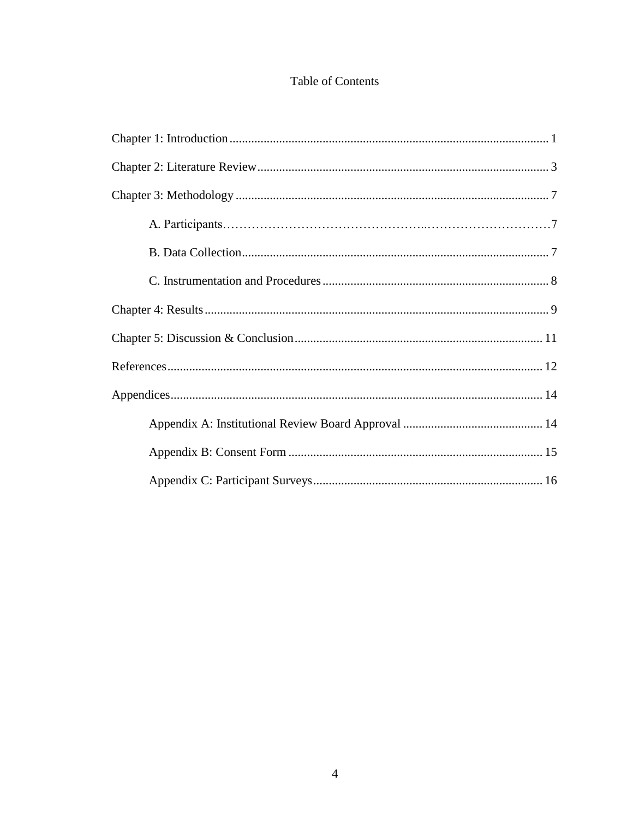# Table of Contents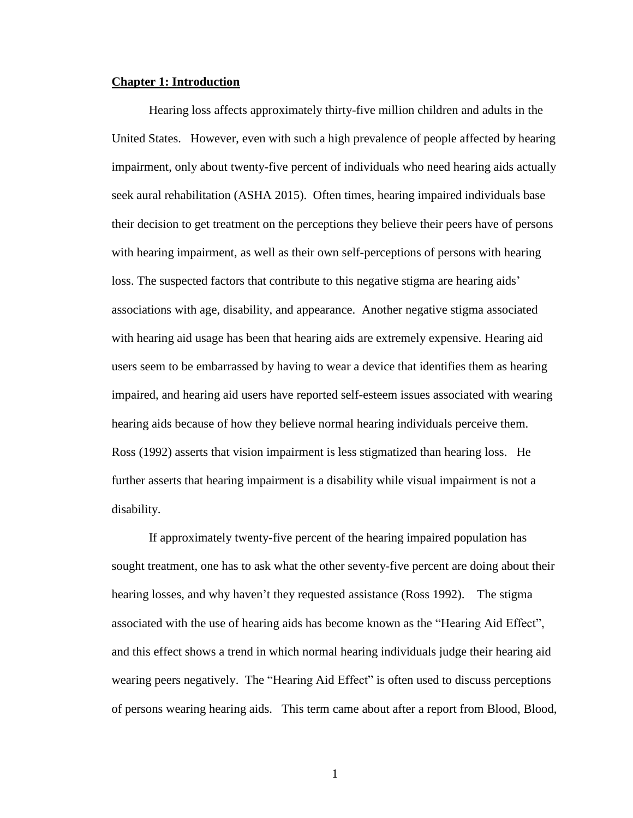#### **Chapter 1: Introduction**

Hearing loss affects approximately thirty-five million children and adults in the United States. However, even with such a high prevalence of people affected by hearing impairment, only about twenty-five percent of individuals who need hearing aids actually seek aural rehabilitation (ASHA 2015). Often times, hearing impaired individuals base their decision to get treatment on the perceptions they believe their peers have of persons with hearing impairment, as well as their own self-perceptions of persons with hearing loss. The suspected factors that contribute to this negative stigma are hearing aids' associations with age, disability, and appearance. Another negative stigma associated with hearing aid usage has been that hearing aids are extremely expensive. Hearing aid users seem to be embarrassed by having to wear a device that identifies them as hearing impaired, and hearing aid users have reported self-esteem issues associated with wearing hearing aids because of how they believe normal hearing individuals perceive them. Ross (1992) asserts that vision impairment is less stigmatized than hearing loss. He further asserts that hearing impairment is a disability while visual impairment is not a disability.

If approximately twenty-five percent of the hearing impaired population has sought treatment, one has to ask what the other seventy-five percent are doing about their hearing losses, and why haven't they requested assistance (Ross 1992). The stigma associated with the use of hearing aids has become known as the "Hearing Aid Effect", and this effect shows a trend in which normal hearing individuals judge their hearing aid wearing peers negatively. The "Hearing Aid Effect" is often used to discuss perceptions of persons wearing hearing aids. This term came about after a report from Blood, Blood,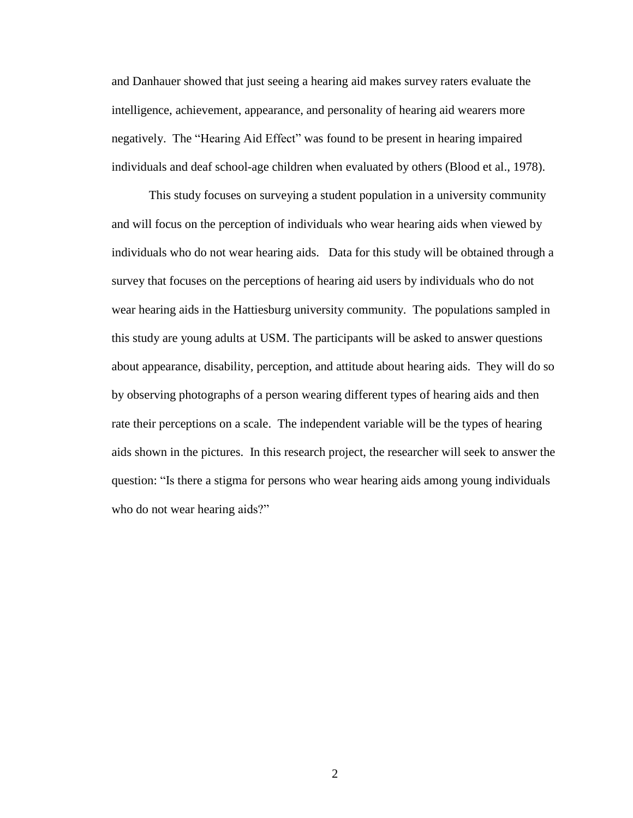and Danhauer showed that just seeing a hearing aid makes survey raters evaluate the intelligence, achievement, appearance, and personality of hearing aid wearers more negatively. The "Hearing Aid Effect" was found to be present in hearing impaired individuals and deaf school-age children when evaluated by others (Blood et al., 1978).

This study focuses on surveying a student population in a university community and will focus on the perception of individuals who wear hearing aids when viewed by individuals who do not wear hearing aids. Data for this study will be obtained through a survey that focuses on the perceptions of hearing aid users by individuals who do not wear hearing aids in the Hattiesburg university community. The populations sampled in this study are young adults at USM. The participants will be asked to answer questions about appearance, disability, perception, and attitude about hearing aids. They will do so by observing photographs of a person wearing different types of hearing aids and then rate their perceptions on a scale. The independent variable will be the types of hearing aids shown in the pictures. In this research project, the researcher will seek to answer the question: "Is there a stigma for persons who wear hearing aids among young individuals who do not wear hearing aids?"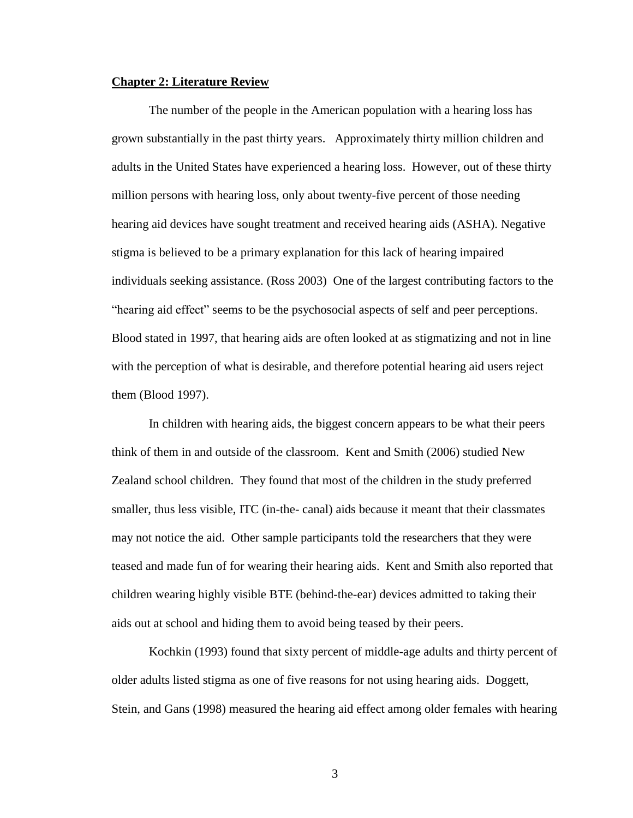#### **Chapter 2: Literature Review**

The number of the people in the American population with a hearing loss has grown substantially in the past thirty years. Approximately thirty million children and adults in the United States have experienced a hearing loss. However, out of these thirty million persons with hearing loss, only about twenty-five percent of those needing hearing aid devices have sought treatment and received hearing aids (ASHA). Negative stigma is believed to be a primary explanation for this lack of hearing impaired individuals seeking assistance. (Ross 2003) One of the largest contributing factors to the "hearing aid effect" seems to be the psychosocial aspects of self and peer perceptions. Blood stated in 1997, that hearing aids are often looked at as stigmatizing and not in line with the perception of what is desirable, and therefore potential hearing aid users reject them (Blood 1997).

In children with hearing aids, the biggest concern appears to be what their peers think of them in and outside of the classroom. Kent and Smith (2006) studied New Zealand school children. They found that most of the children in the study preferred smaller, thus less visible, ITC (in-the- canal) aids because it meant that their classmates may not notice the aid. Other sample participants told the researchers that they were teased and made fun of for wearing their hearing aids. Kent and Smith also reported that children wearing highly visible BTE (behind-the-ear) devices admitted to taking their aids out at school and hiding them to avoid being teased by their peers.

Kochkin (1993) found that sixty percent of middle-age adults and thirty percent of older adults listed stigma as one of five reasons for not using hearing aids. Doggett, Stein, and Gans (1998) measured the hearing aid effect among older females with hearing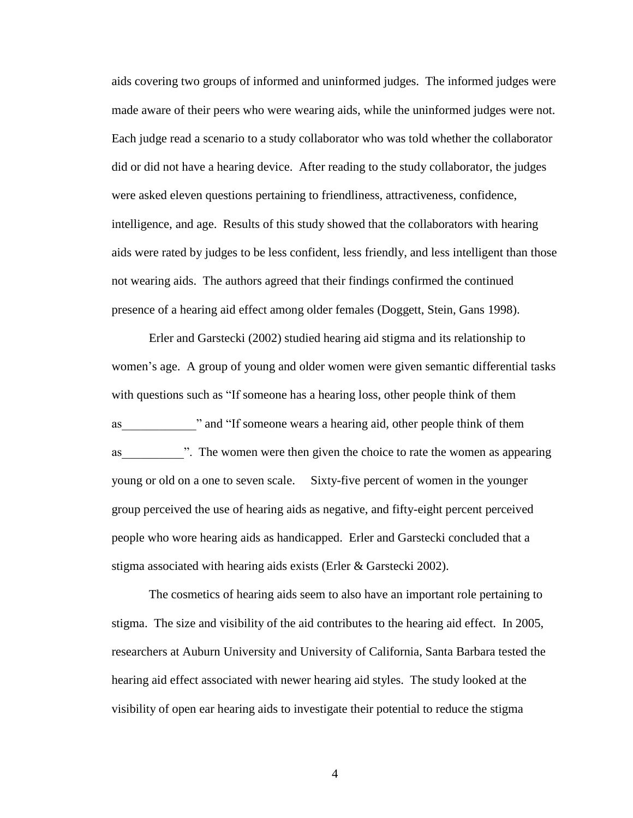aids covering two groups of informed and uninformed judges. The informed judges were made aware of their peers who were wearing aids, while the uninformed judges were not. Each judge read a scenario to a study collaborator who was told whether the collaborator did or did not have a hearing device. After reading to the study collaborator, the judges were asked eleven questions pertaining to friendliness, attractiveness, confidence, intelligence, and age. Results of this study showed that the collaborators with hearing aids were rated by judges to be less confident, less friendly, and less intelligent than those not wearing aids. The authors agreed that their findings confirmed the continued presence of a hearing aid effect among older females (Doggett, Stein, Gans 1998).

Erler and Garstecki (2002) studied hearing aid stigma and its relationship to women's age. A group of young and older women were given semantic differential tasks with questions such as "If someone has a hearing loss, other people think of them as and "If someone wears a hearing aid, other people think of them as The women were then given the choice to rate the women as appearing young or old on a one to seven scale. Sixty-five percent of women in the younger group perceived the use of hearing aids as negative, and fifty-eight percent perceived people who wore hearing aids as handicapped. Erler and Garstecki concluded that a stigma associated with hearing aids exists (Erler & Garstecki 2002).

The cosmetics of hearing aids seem to also have an important role pertaining to stigma. The size and visibility of the aid contributes to the hearing aid effect. In 2005, researchers at Auburn University and University of California, Santa Barbara tested the hearing aid effect associated with newer hearing aid styles. The study looked at the visibility of open ear hearing aids to investigate their potential to reduce the stigma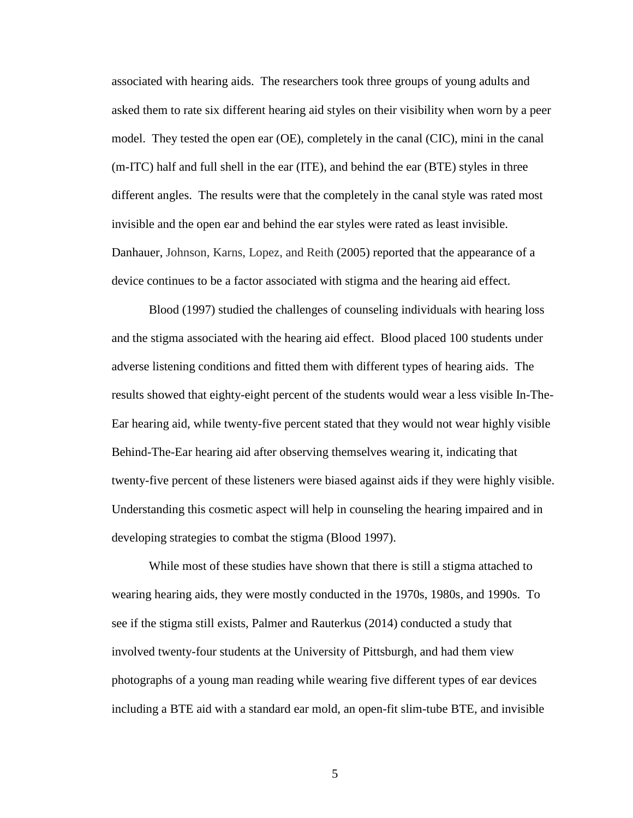associated with hearing aids. The researchers took three groups of young adults and asked them to rate six different hearing aid styles on their visibility when worn by a peer model. They tested the open ear (OE), completely in the canal (CIC), mini in the canal (m-ITC) half and full shell in the ear (ITE), and behind the ear (BTE) styles in three different angles. The results were that the completely in the canal style was rated most invisible and the open ear and behind the ear styles were rated as least invisible. Danhauer, Johnson, Karns, Lopez, and Reith (2005) reported that the appearance of a device continues to be a factor associated with stigma and the hearing aid effect.

Blood (1997) studied the challenges of counseling individuals with hearing loss and the stigma associated with the hearing aid effect. Blood placed 100 students under adverse listening conditions and fitted them with different types of hearing aids. The results showed that eighty-eight percent of the students would wear a less visible In-The-Ear hearing aid, while twenty-five percent stated that they would not wear highly visible Behind-The-Ear hearing aid after observing themselves wearing it, indicating that twenty-five percent of these listeners were biased against aids if they were highly visible. Understanding this cosmetic aspect will help in counseling the hearing impaired and in developing strategies to combat the stigma (Blood 1997).

While most of these studies have shown that there is still a stigma attached to wearing hearing aids, they were mostly conducted in the 1970s, 1980s, and 1990s. To see if the stigma still exists, Palmer and Rauterkus (2014) conducted a study that involved twenty-four students at the University of Pittsburgh, and had them view photographs of a young man reading while wearing five different types of ear devices including a BTE aid with a standard ear mold, an open-fit slim-tube BTE, and invisible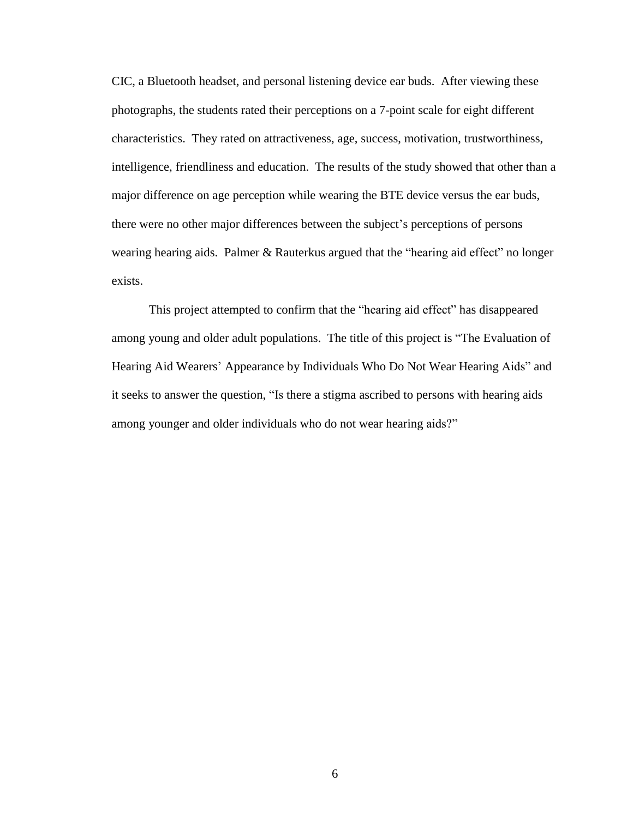CIC, a Bluetooth headset, and personal listening device ear buds. After viewing these photographs, the students rated their perceptions on a 7-point scale for eight different characteristics. They rated on attractiveness, age, success, motivation, trustworthiness, intelligence, friendliness and education. The results of the study showed that other than a major difference on age perception while wearing the BTE device versus the ear buds, there were no other major differences between the subject's perceptions of persons wearing hearing aids. Palmer & Rauterkus argued that the "hearing aid effect" no longer exists.

This project attempted to confirm that the "hearing aid effect" has disappeared among young and older adult populations. The title of this project is "The Evaluation of Hearing Aid Wearers' Appearance by Individuals Who Do Not Wear Hearing Aids" and it seeks to answer the question, "Is there a stigma ascribed to persons with hearing aids among younger and older individuals who do not wear hearing aids?"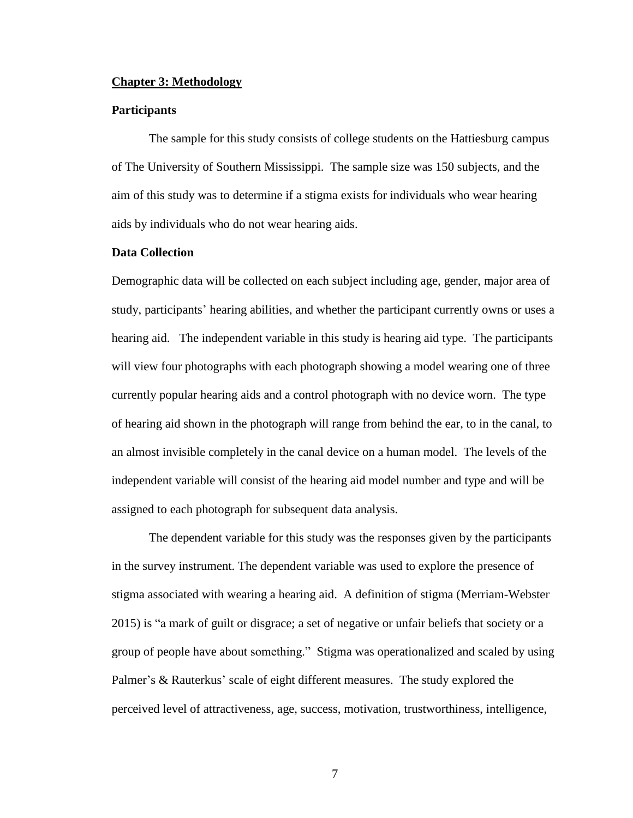#### **Chapter 3: Methodology**

#### **Participants**

The sample for this study consists of college students on the Hattiesburg campus of The University of Southern Mississippi. The sample size was 150 subjects, and the aim of this study was to determine if a stigma exists for individuals who wear hearing aids by individuals who do not wear hearing aids.

## **Data Collection**

Demographic data will be collected on each subject including age, gender, major area of study, participants' hearing abilities, and whether the participant currently owns or uses a hearing aid. The independent variable in this study is hearing aid type. The participants will view four photographs with each photograph showing a model wearing one of three currently popular hearing aids and a control photograph with no device worn. The type of hearing aid shown in the photograph will range from behind the ear, to in the canal, to an almost invisible completely in the canal device on a human model. The levels of the independent variable will consist of the hearing aid model number and type and will be assigned to each photograph for subsequent data analysis.

The dependent variable for this study was the responses given by the participants in the survey instrument. The dependent variable was used to explore the presence of stigma associated with wearing a hearing aid. A definition of stigma (Merriam-Webster 2015) is "a mark of guilt or disgrace; a set of negative or unfair beliefs that society or a group of people have about something." Stigma was operationalized and scaled by using Palmer's & Rauterkus' scale of eight different measures. The study explored the perceived level of attractiveness, age, success, motivation, trustworthiness, intelligence,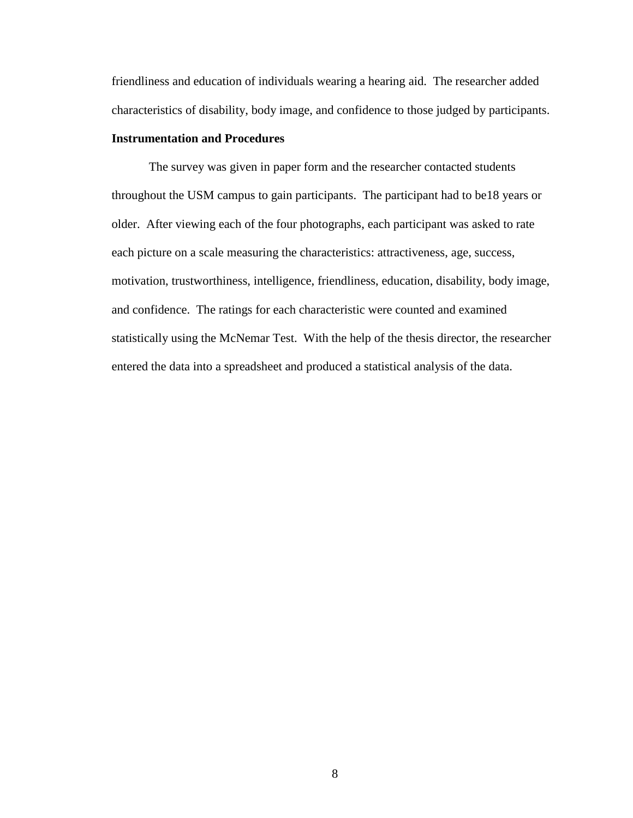friendliness and education of individuals wearing a hearing aid. The researcher added characteristics of disability, body image, and confidence to those judged by participants.

## **Instrumentation and Procedures**

The survey was given in paper form and the researcher contacted students throughout the USM campus to gain participants. The participant had to be18 years or older. After viewing each of the four photographs, each participant was asked to rate each picture on a scale measuring the characteristics: attractiveness, age, success, motivation, trustworthiness, intelligence, friendliness, education, disability, body image, and confidence. The ratings for each characteristic were counted and examined statistically using the McNemar Test. With the help of the thesis director, the researcher entered the data into a spreadsheet and produced a statistical analysis of the data.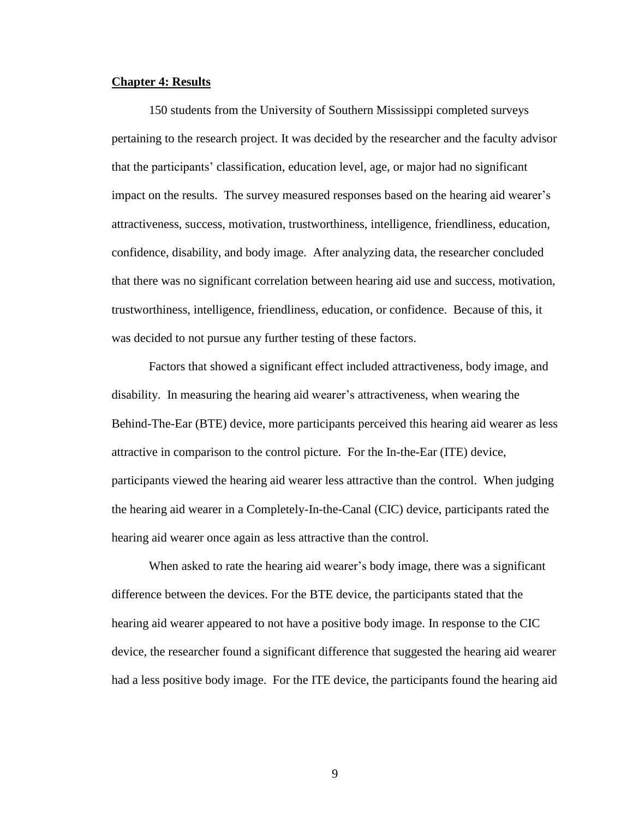## **Chapter 4: Results**

150 students from the University of Southern Mississippi completed surveys pertaining to the research project. It was decided by the researcher and the faculty advisor that the participants' classification, education level, age, or major had no significant impact on the results. The survey measured responses based on the hearing aid wearer's attractiveness, success, motivation, trustworthiness, intelligence, friendliness, education, confidence, disability, and body image. After analyzing data, the researcher concluded that there was no significant correlation between hearing aid use and success, motivation, trustworthiness, intelligence, friendliness, education, or confidence. Because of this, it was decided to not pursue any further testing of these factors.

Factors that showed a significant effect included attractiveness, body image, and disability. In measuring the hearing aid wearer's attractiveness, when wearing the Behind-The-Ear (BTE) device, more participants perceived this hearing aid wearer as less attractive in comparison to the control picture. For the In-the-Ear (ITE) device, participants viewed the hearing aid wearer less attractive than the control. When judging the hearing aid wearer in a Completely-In-the-Canal (CIC) device, participants rated the hearing aid wearer once again as less attractive than the control.

When asked to rate the hearing aid wearer's body image, there was a significant difference between the devices. For the BTE device, the participants stated that the hearing aid wearer appeared to not have a positive body image. In response to the CIC device, the researcher found a significant difference that suggested the hearing aid wearer had a less positive body image. For the ITE device, the participants found the hearing aid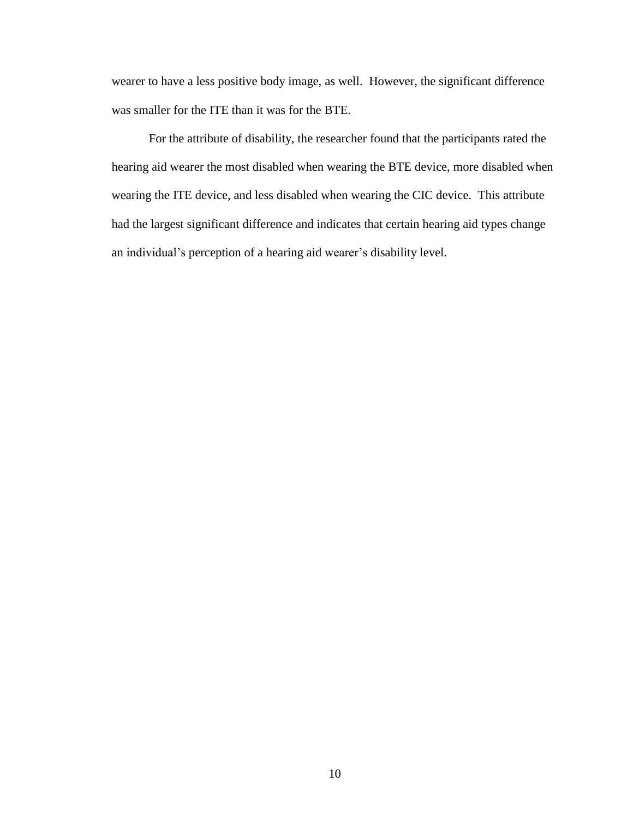wearer to have a less positive body image, as well. However, the significant difference was smaller for the ITE than it was for the BTE.

For the attribute of disability, the researcher found that the participants rated the hearing aid wearer the most disabled when wearing the BTE device, more disabled when wearing the ITE device, and less disabled when wearing the CIC device. This attribute had the largest significant difference and indicates that certain hearing aid types change an individual's perception of a hearing aid wearer's disability level.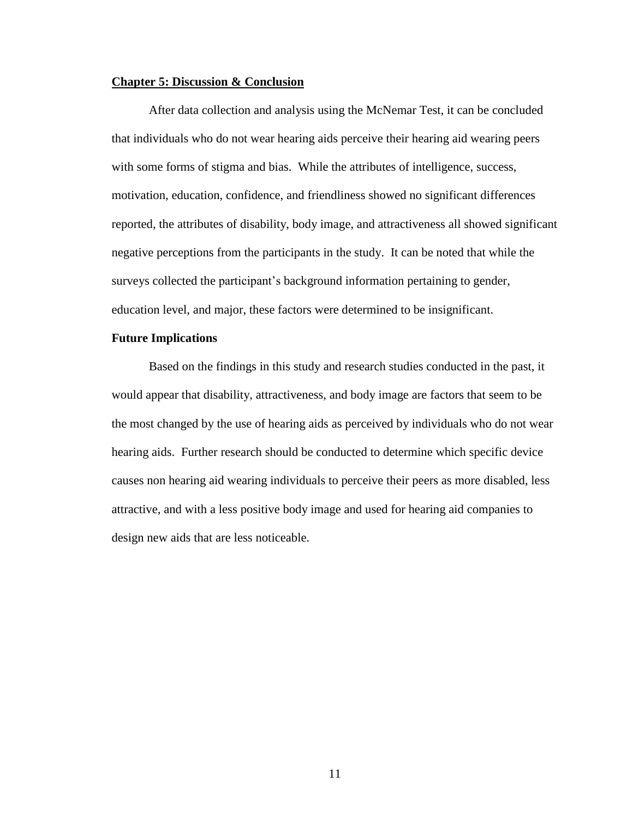#### **Chapter 5: Discussion & Conclusion**

After data collection and analysis using the McNemar Test, it can be concluded that individuals who do not wear hearing aids perceive their hearing aid wearing peers with some forms of stigma and bias. While the attributes of intelligence, success, motivation, education, confidence, and friendliness showed no significant differences reported, the attributes of disability, body image, and attractiveness all showed significant negative perceptions from the participants in the study. It can be noted that while the surveys collected the participant's background information pertaining to gender, education level, and major, these factors were determined to be insignificant.

#### **Future Implications**

Based on the findings in this study and research studies conducted in the past, it would appear that disability, attractiveness, and body image are factors that seem to be the most changed by the use of hearing aids as perceived by individuals who do not wear hearing aids. Further research should be conducted to determine which specific device causes non hearing aid wearing individuals to perceive their peers as more disabled, less attractive, and with a less positive body image and used for hearing aid companies to design new aids that are less noticeable.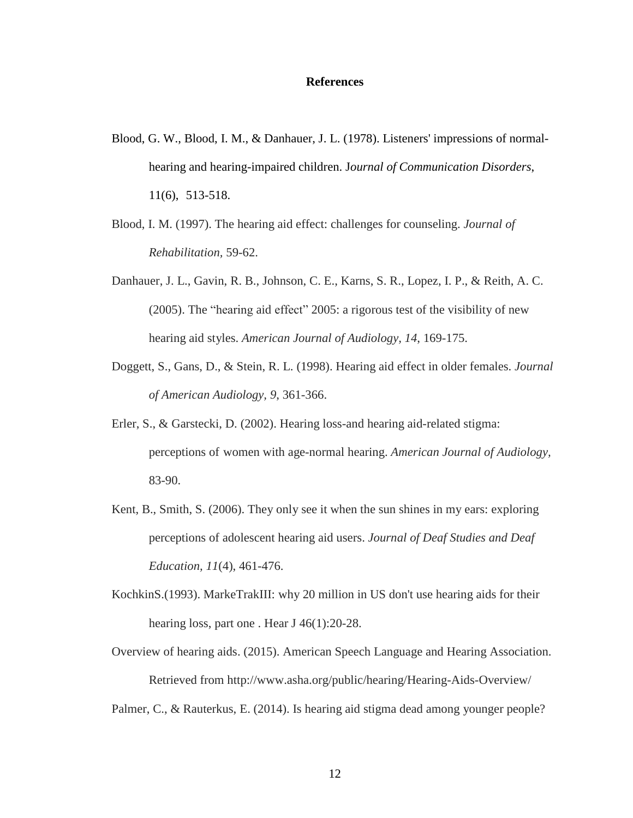#### **References**

- Blood, G. W., Blood, I. M., & Danhauer, J. L. (1978). Listeners' impressions of normalhearing and hearing-impaired children. J*ournal of Communication Disorders*, 11(6), 513-518.
- Blood, I. M. (1997). The hearing aid effect: challenges for counseling. *Journal of Rehabilitation,* 59-62.
- Danhauer, J. L., Gavin, R. B., Johnson, C. E., Karns, S. R., Lopez, I. P., & Reith, A. C. (2005). The "hearing aid effect" 2005: a rigorous test of the visibility of new hearing aid styles. *American Journal of Audiology, 14*, 169-175.
- Doggett, S., Gans, D., & Stein, R. L. (1998). Hearing aid effect in older females. *Journal of American Audiology, 9*, 361-366.
- Erler, S., & Garstecki, D. (2002). Hearing loss-and hearing aid-related stigma: perceptions of women with age-normal hearing. *American Journal of Audiology,* 83-90.
- Kent, B., Smith, S. (2006). They only see it when the sun shines in my ears: exploring perceptions of adolescent hearing aid users. *Journal of Deaf Studies and Deaf Education, 11*(4), 461-476.
- KochkinS.(1993). MarkeTrakIII: why 20 million in US don't use hearing aids for their hearing loss, part one . Hear J 46(1):20-28.
- Overview of hearing aids. (2015). American Speech Language and Hearing Association. Retrieved from http://www.asha.org/public/hearing/Hearing-Aids-Overview/

Palmer, C., & Rauterkus, E. (2014). Is hearing aid stigma dead among younger people?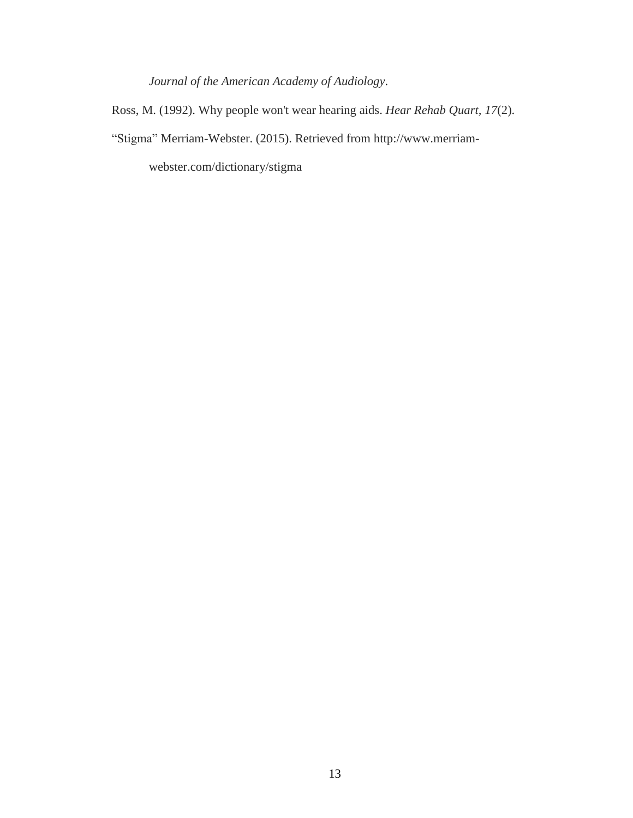*Journal of the American Academy of Audiology*.

Ross, M. (1992). Why people won't wear hearing aids. *Hear Rehab Quart, 17*(2).

"Stigma" Merriam-Webster. (2015). Retrieved from http://www.merriam-

webster.com/dictionary/stigma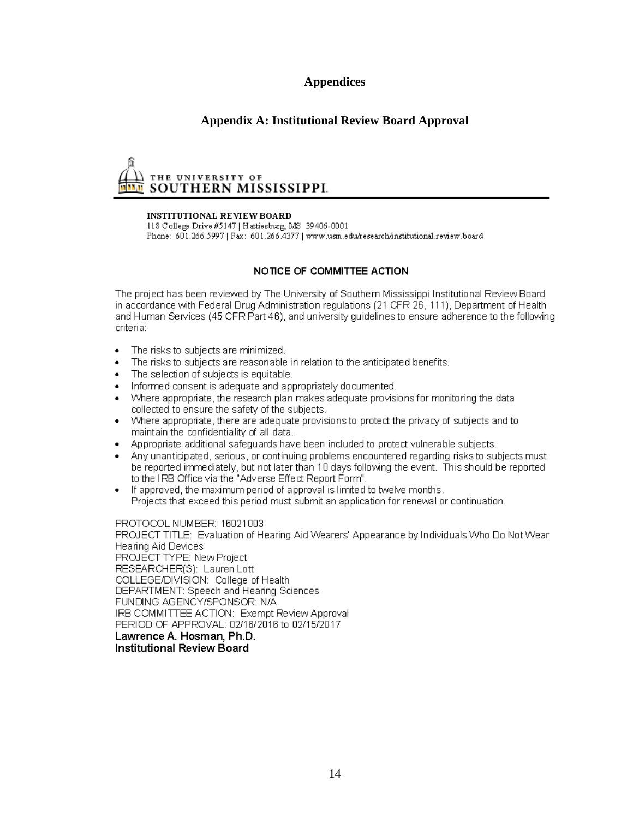## **Appendices**

## **Appendix A: Institutional Review Board Approval**

# THE UNIVERSITY OF SOUTHERN MISSISSIPPI.

#### **INSTITUTIONAL REVIEW BOARD**

118 College Drive #5147 | Hattiesburg, MS 39406-0001 Phone: 601.266.5997 | Fax: 601.266.4377 | www.usm.edu/research/institutional.review.board

#### NOTICE OF COMMITTEE ACTION

The project has been reviewed by The University of Southern Mississippi Institutional Review Board in accordance with Federal Drug Administration regulations (21 CFR 26, 111), Department of Health and Human Services (45 CFR Part 46), and university guidelines to ensure adherence to the following criteria:

- The risks to subjects are minimized.  $\bullet$
- The risks to subjects are reasonable in relation to the anticipated benefits.
- The selection of subjects is equitable.
- Informed consent is adequate and appropriately documented.
- Where appropriate, the research plan makes adequate provisions for monitoring the data collected to ensure the safety of the subjects.
- Where appropriate, there are adequate provisions to protect the privacy of subjects and to  $\bullet$ maintain the confidentiality of all data.
- Appropriate additional safeguards have been included to protect vulnerable subjects.
- Any unanticipated, serious, or continuing problems encountered regarding risks to subjects must be reported immediately, but not later than 10 days following the event. This should be reported to the IRB Office via the "Adverse Effect Report Form".
- If approved, the maximum period of approval is limited to twelve months.  $\bullet$ Projects that exceed this period must submit an application for renewal or continuation.

#### PROTOCOL NUMBER: 16021003

PROJECT TITLE: Evaluation of Hearing Aid Wearers' Appearance by Individuals Who Do Not Wear Hearing Aid Devices PROJECT TYPE: New Project RESEARCHER(S): Lauren Lott COLLEGE/DIVISION: College of Health DEPARTMENT: Speech and Hearing Sciences FUNDING AGENCY/SPONSOR: N/A IRB COMMITTEE ACTION: Exempt Review Approval PERIOD OF APPROVAL: 02/16/2016 to 02/15/2017 Lawrence A. Hosman, Ph.D. **Institutional Review Board**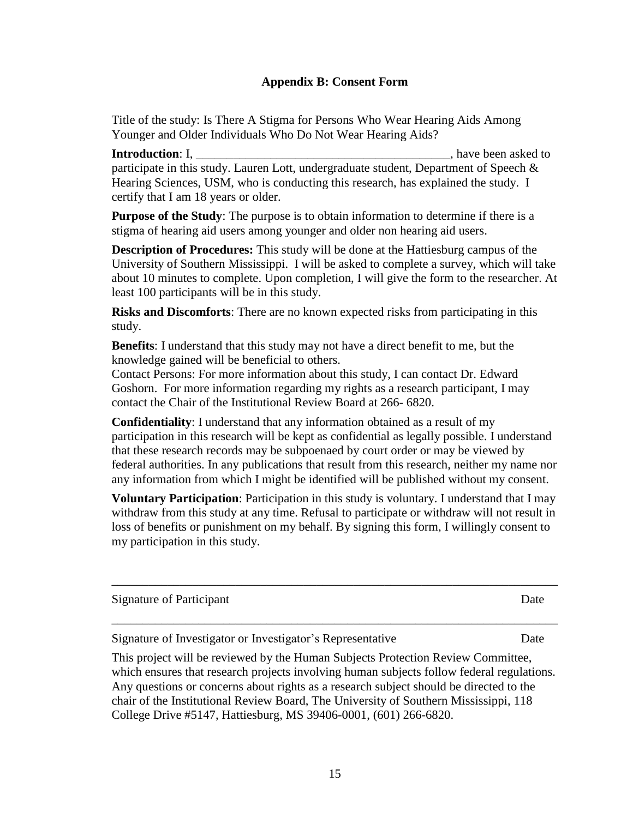## **Appendix B: Consent Form**

Title of the study: Is There A Stigma for Persons Who Wear Hearing Aids Among Younger and Older Individuals Who Do Not Wear Hearing Aids?

**Introduction**: I, **I, the secure of the security of the security of the security of the security of the security of the security of the security of the security of the security of the security of the security of the secur** participate in this study. Lauren Lott, undergraduate student, Department of Speech & Hearing Sciences, USM, who is conducting this research, has explained the study. I certify that I am 18 years or older.

**Purpose of the Study**: The purpose is to obtain information to determine if there is a stigma of hearing aid users among younger and older non hearing aid users.

**Description of Procedures:** This study will be done at the Hattiesburg campus of the University of Southern Mississippi. I will be asked to complete a survey, which will take about 10 minutes to complete. Upon completion, I will give the form to the researcher. At least 100 participants will be in this study.

**Risks and Discomforts**: There are no known expected risks from participating in this study.

**Benefits**: I understand that this study may not have a direct benefit to me, but the knowledge gained will be beneficial to others.

Contact Persons: For more information about this study, I can contact Dr. Edward Goshorn. For more information regarding my rights as a research participant, I may contact the Chair of the Institutional Review Board at 266- 6820.

**Confidentiality**: I understand that any information obtained as a result of my participation in this research will be kept as confidential as legally possible. I understand that these research records may be subpoenaed by court order or may be viewed by federal authorities. In any publications that result from this research, neither my name nor any information from which I might be identified will be published without my consent.

**Voluntary Participation**: Participation in this study is voluntary. I understand that I may withdraw from this study at any time. Refusal to participate or withdraw will not result in loss of benefits or punishment on my behalf. By signing this form, I willingly consent to my participation in this study.

\_\_\_\_\_\_\_\_\_\_\_\_\_\_\_\_\_\_\_\_\_\_\_\_\_\_\_\_\_\_\_\_\_\_\_\_\_\_\_\_\_\_\_\_\_\_\_\_\_\_\_\_\_\_\_\_\_\_\_\_\_\_\_\_\_\_\_\_\_\_\_\_

\_\_\_\_\_\_\_\_\_\_\_\_\_\_\_\_\_\_\_\_\_\_\_\_\_\_\_\_\_\_\_\_\_\_\_\_\_\_\_\_\_\_\_\_\_\_\_\_\_\_\_\_\_\_\_\_\_\_\_\_\_\_\_\_\_\_\_\_\_\_\_\_

Signature of Participant Date

Signature of Investigator or Investigator's Representative Date

This project will be reviewed by the Human Subjects Protection Review Committee, which ensures that research projects involving human subjects follow federal regulations. Any questions or concerns about rights as a research subject should be directed to the chair of the Institutional Review Board, The University of Southern Mississippi, 118 College Drive #5147, Hattiesburg, MS 39406-0001, (601) 266-6820.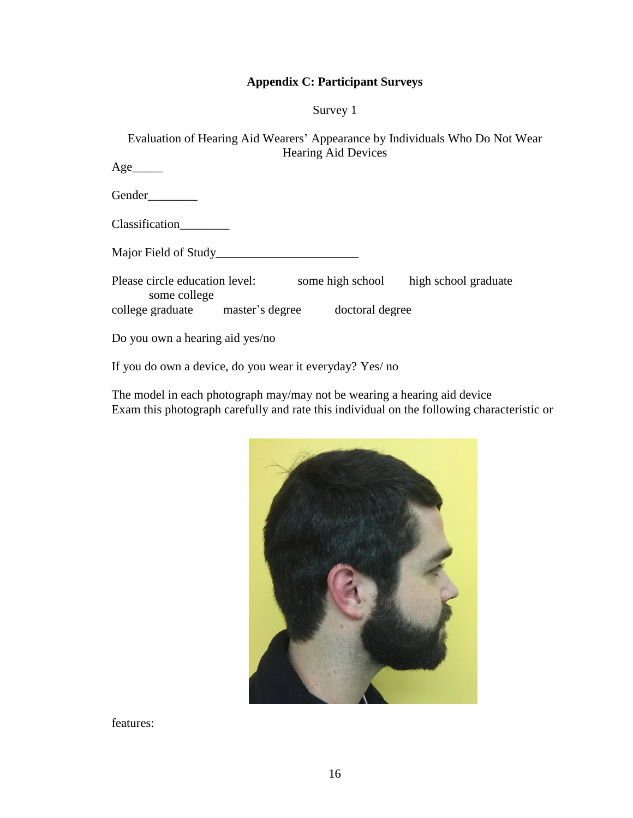## **Appendix C: Participant Surveys**

Survey 1

Evaluation of Hearing Aid Wearers' Appearance by Individuals Who Do Not Wear Hearing Aid Devices

 $Age$ <sub>\_\_\_\_\_\_\_\_</sub> Gender\_\_\_\_\_\_\_\_ Classification\_\_\_\_\_\_\_\_ Major Field of Study\_\_\_\_\_\_\_\_\_\_\_\_\_\_\_\_\_\_\_\_\_\_\_ Please circle education level: some high school high school graduate some college college graduate master's degree doctoral degree Do you own a hearing aid yes/no

If you do own a device, do you wear it everyday? Yes/ no

The model in each photograph may/may not be wearing a hearing aid device Exam this photograph carefully and rate this individual on the following characteristic or



features: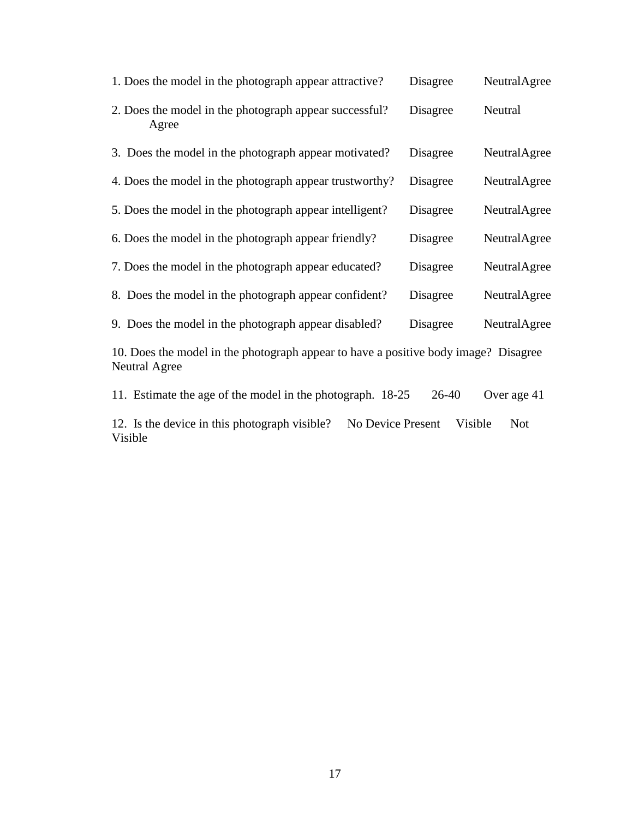| 1. Does the model in the photograph appear attractive?                                               | Disagree | NeutralAgree |  |
|------------------------------------------------------------------------------------------------------|----------|--------------|--|
| 2. Does the model in the photograph appear successful?<br>Agree                                      | Disagree | Neutral      |  |
| 3. Does the model in the photograph appear motivated?                                                | Disagree | NeutralAgree |  |
| 4. Does the model in the photograph appear trustworthy?                                              | Disagree | NeutralAgree |  |
| 5. Does the model in the photograph appear intelligent?                                              | Disagree | NeutralAgree |  |
| 6. Does the model in the photograph appear friendly?                                                 | Disagree | NeutralAgree |  |
| 7. Does the model in the photograph appear educated?                                                 | Disagree | NeutralAgree |  |
| 8. Does the model in the photograph appear confident?                                                | Disagree | NeutralAgree |  |
| 9. Does the model in the photograph appear disabled?                                                 | Disagree | NeutralAgree |  |
| 10. Does the model in the photograph appear to have a positive body image? Disagree<br>Neutral Agree |          |              |  |

11. Estimate the age of the model in the photograph. 18-25 26-40 Over age 41

12. Is the device in this photograph visible? No Device Present Visible Not Visible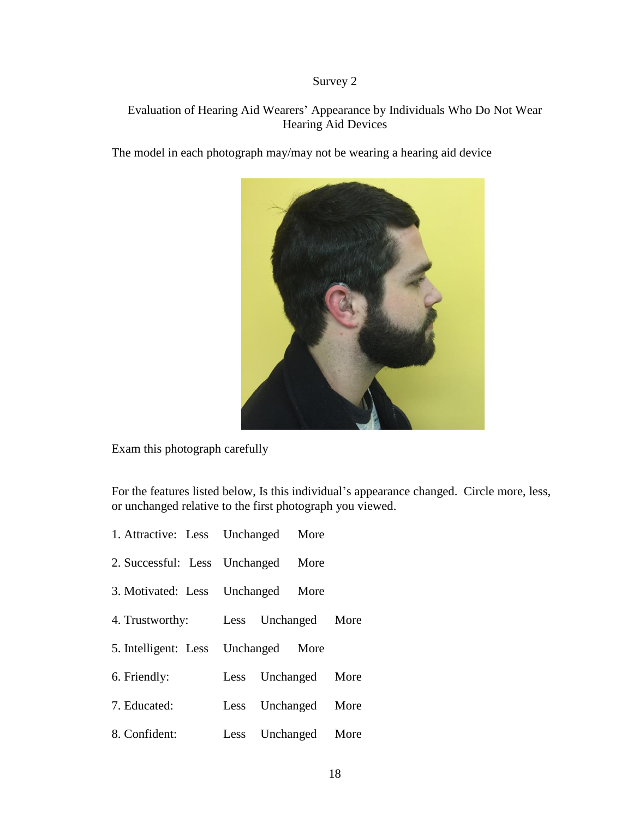# Survey 2

# Evaluation of Hearing Aid Wearers' Appearance by Individuals Who Do Not Wear Hearing Aid Devices

The model in each photograph may/may not be wearing a hearing aid device



Exam this photograph carefully

For the features listed below, Is this individual's appearance changed. Circle more, less, or unchanged relative to the first photograph you viewed.

| 1. Attractive: Less Unchanged More  |                     |  |
|-------------------------------------|---------------------|--|
| 2. Successful: Less Unchanged More  |                     |  |
| 3. Motivated: Less Unchanged More   |                     |  |
| 4. Trustworthy: Less Unchanged More |                     |  |
| 5. Intelligent: Less Unchanged More |                     |  |
| 6. Friendly:                        | Less Unchanged More |  |
| 7. Educated:                        | Less Unchanged More |  |
| 8. Confident:                       | Less Unchanged More |  |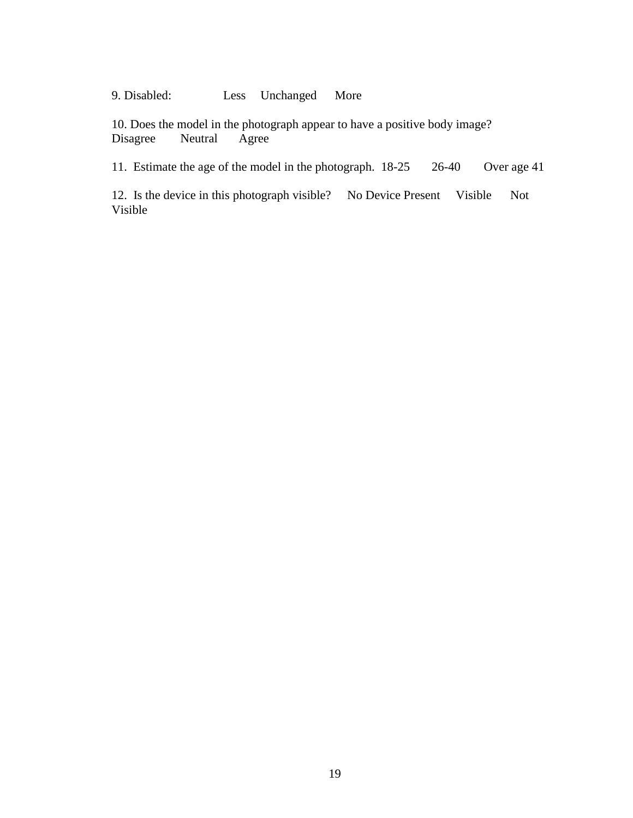9. Disabled: Less Unchanged More

10. Does the model in the photograph appear to have a positive body image?<br>Disagree Neutral Agree Disagree

11. Estimate the age of the model in the photograph. 18-25 26-40 Over age 41

12. Is the device in this photograph visible? No Device Present Visible Not Visible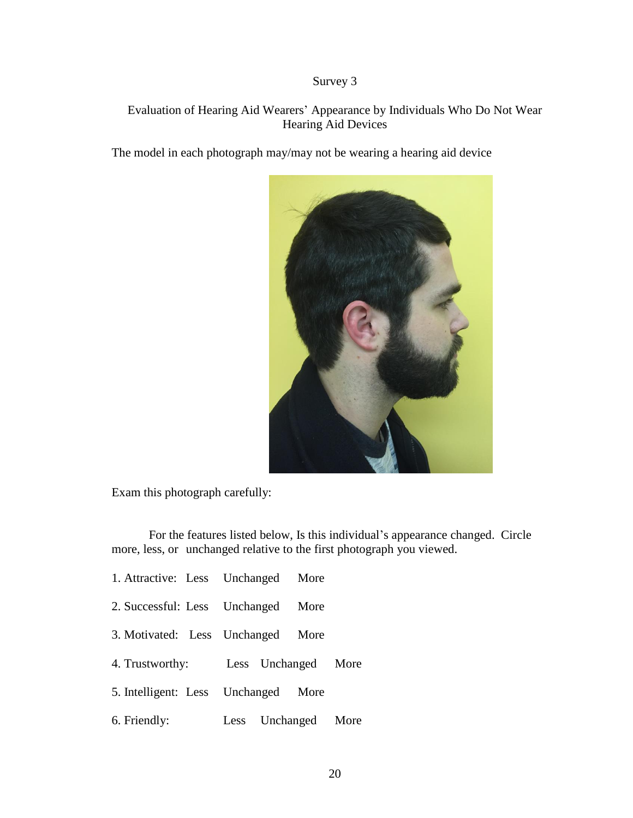# Survey 3

# Evaluation of Hearing Aid Wearers' Appearance by Individuals Who Do Not Wear Hearing Aid Devices

The model in each photograph may/may not be wearing a hearing aid device



Exam this photograph carefully:

For the features listed below, Is this individual's appearance changed. Circle more, less, or unchanged relative to the first photograph you viewed.

| 1. Attractive: Less Unchanged More  |                     |      |  |
|-------------------------------------|---------------------|------|--|
| 2. Successful: Less Unchanged       |                     | More |  |
| 3. Motivated: Less Unchanged        |                     | More |  |
| 4. Trustworthy: Less Unchanged More |                     |      |  |
| 5. Intelligent: Less Unchanged      |                     | More |  |
| 6. Friendly:                        | Less Unchanged More |      |  |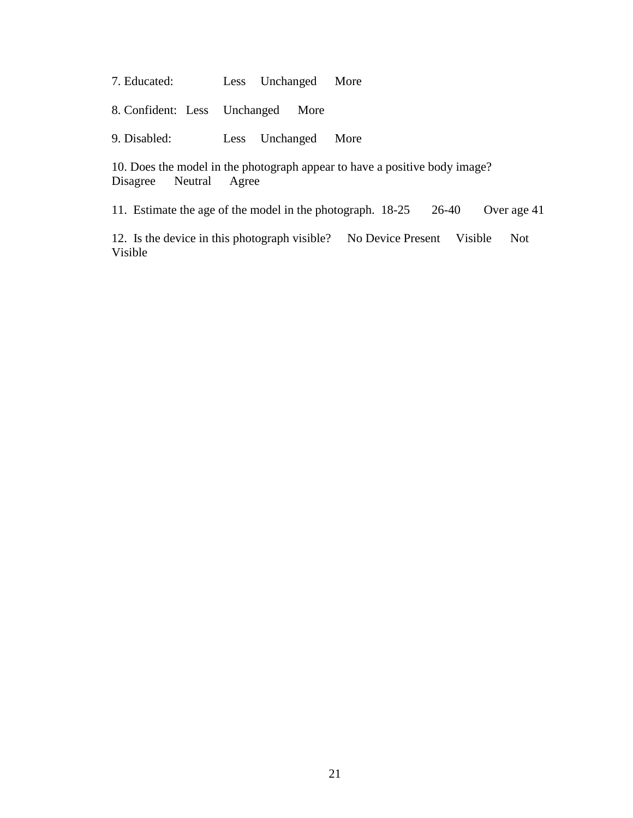7. Educated: Less Unchanged More

8. Confident: Less Unchanged More

9. Disabled: Less Unchanged More

10. Does the model in the photograph appear to have a positive body image? Disagree Neutral Agree

11. Estimate the age of the model in the photograph. 18-25 26-40 Over age 41

12. Is the device in this photograph visible? No Device Present Visible Not Visible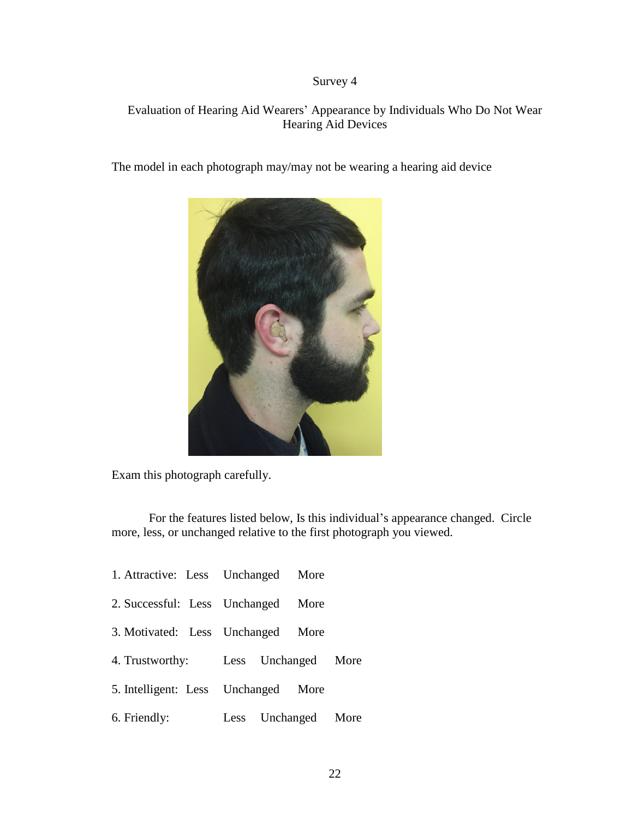# Survey 4

# Evaluation of Hearing Aid Wearers' Appearance by Individuals Who Do Not Wear Hearing Aid Devices

The model in each photograph may/may not be wearing a hearing aid device



Exam this photograph carefully.

For the features listed below, Is this individual's appearance changed. Circle more, less, or unchanged relative to the first photograph you viewed.

| 1. Attractive: Less Unchanged More |                     |      |  |
|------------------------------------|---------------------|------|--|
| 2. Successful: Less Unchanged      |                     | More |  |
| 3. Motivated: Less Unchanged       |                     | More |  |
| 4. Trustworthy:                    | Less Unchanged More |      |  |
| 5. Intelligent: Less Unchanged     |                     | More |  |
| 6. Friendly:                       | Less Unchanged More |      |  |